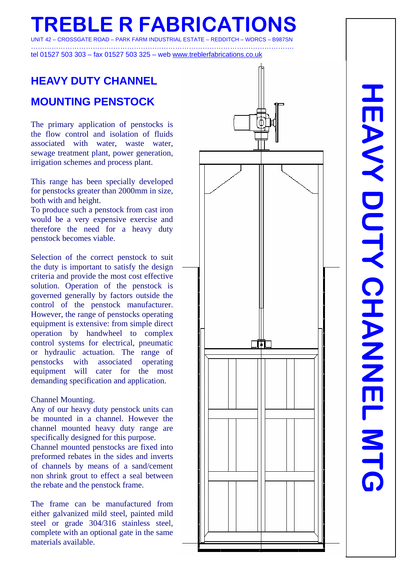**REBLE R FABRICATION ROSSGATE ROAD –** 

…………………………………………………………………………………………………….

tel 01527 503 303 – fax 01527 503 325 – web [www.treblerfabrications.co.uk](http://www.treblerfabrications.co.uk/)

# **HEAVY DUTY CHANNEL MOUNTING PENSTOCK**

The primary application of penstocks is the flow control and isolation of fluids associated with water, waste water, sewage treatment plant, power generation, irrigation schemes and process plant.

This range has been specially developed for penstocks greater than 2000mm in size, both with and height.

To produce such a penstock from cast iron would be a very expensive exercise and therefore the need for a heavy duty penstock becomes viable.

Selection of the correct penstock to suit the duty is important to satisfy the design criteria and provide the most cost effective solution. Operation of the penstock is governed generally by factors outside the control of the penstock manufacturer. However, the range of penstocks operating equipment is extensive: from simple direct operation by handwheel to complex control systems for electrical, pneumatic or hydraulic actuation. The range of penstocks with associated operating equipment will cater for the most demanding specification and application.

#### Channel Mounting.

Any of our heavy duty penstock units can be mounted in a channel. However the channel mounted heavy duty range are specifically designed for this purpose. Channel mounted penstocks are fixed into preformed rebates in the sides and inverts of channels by means of a sand/cement non shrink grout to effect a seal between the rebate and the penstock frame.

The frame can be manufactured from either galvanized mild steel, painted mild steel or grade 304/316 stainless steel, complete with an optional gate in the same materials available.

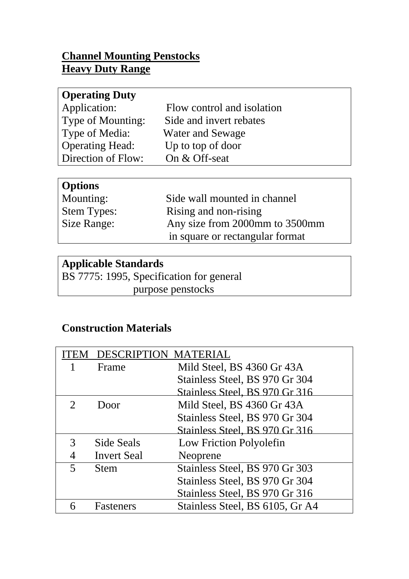## **Channel Mounting Penstocks Heavy Duty Range**

| Flow control and isolation |
|----------------------------|
| Side and invert rebates    |
| <b>Water and Sewage</b>    |
| Up to top of door          |
| On & Off-seat              |
|                            |

#### **Options**

| - - - - - -        |                                 |
|--------------------|---------------------------------|
| Mounting:          | Side wall mounted in channel    |
| <b>Stem Types:</b> | Rising and non-rising           |
| Size Range:        | Any size from 2000mm to 3500mm  |
|                    | in square or rectangular format |

# **Applicable Standards**

BS 7775: 1995, Specification for general purpose penstocks

# **Construction Materials**

| ΈM | <b>DESCRIPTION MATERIAL</b> |                                 |  |  |
|----|-----------------------------|---------------------------------|--|--|
|    | Frame                       | Mild Steel, BS 4360 Gr 43A      |  |  |
|    |                             | Stainless Steel, BS 970 Gr 304  |  |  |
|    |                             | Stainless Steel, BS 970 Gr 316  |  |  |
|    | Door                        | Mild Steel, BS 4360 Gr 43A      |  |  |
|    |                             | Stainless Steel, BS 970 Gr 304  |  |  |
|    |                             | Stainless Steel, BS 970 Gr 316  |  |  |
| 3  | Side Seals                  | Low Friction Polyolefin         |  |  |
|    | <b>Invert Seal</b>          | Neoprene                        |  |  |
|    | <b>Stem</b>                 | Stainless Steel, BS 970 Gr 303  |  |  |
|    |                             | Stainless Steel, BS 970 Gr 304  |  |  |
|    |                             | Stainless Steel, BS 970 Gr 316  |  |  |
| 6  | <b>Fasteners</b>            | Stainless Steel, BS 6105, Gr A4 |  |  |
|    |                             |                                 |  |  |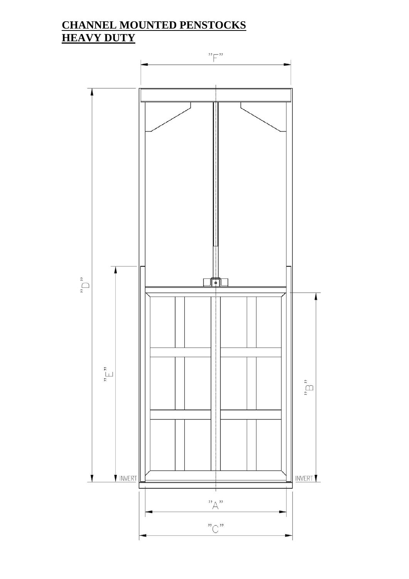## **CHANNEL MOUNTED PENSTOCKS HEAVY DUTY**

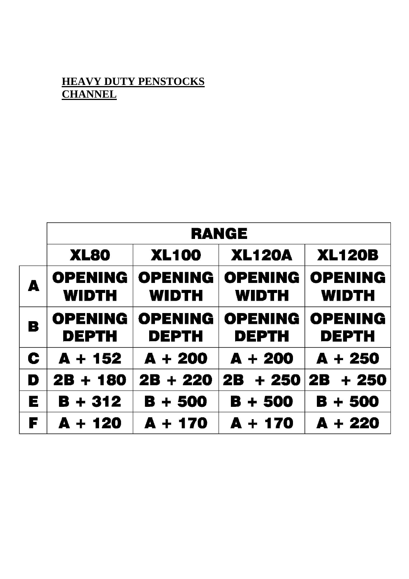#### **HEAVY DUTY PENSTOCKS CHANNEL**

|   | <b>RANGE</b>                   |                                |                                |                                |  |  |
|---|--------------------------------|--------------------------------|--------------------------------|--------------------------------|--|--|
|   | <b>XL80</b>                    | <b>XL100</b>                   | <b>XL120A</b>                  | <b>XL120B</b>                  |  |  |
| A | <b>OPENING</b><br><b>WIDTH</b> | <b>OPENING</b><br><b>WIDTH</b> | <b>OPENING</b><br><b>WIDTH</b> | <b>OPENING</b><br><b>WIDTH</b> |  |  |
| B | <b>OPENING</b><br><b>DEPTH</b> | <b>OPENING</b><br><b>DEPTH</b> | <b>OPENING</b><br><b>DEPTH</b> | <b>OPENING</b><br><b>DEPTH</b> |  |  |
| C | $A + 152$                      | $A + 200$                      | $A + 200$                      | $A + 250$                      |  |  |
| D | $2B + 180$                     | $2B + 220$                     | + 250<br><b>2B</b>             | $2B + 250$                     |  |  |
| E | $B + 312$                      | $B + 500$                      | $B + 500$                      | B + 500                        |  |  |
| F | $A + 120$                      | $A + 170$                      | $A + 170$                      | $A + 220$                      |  |  |